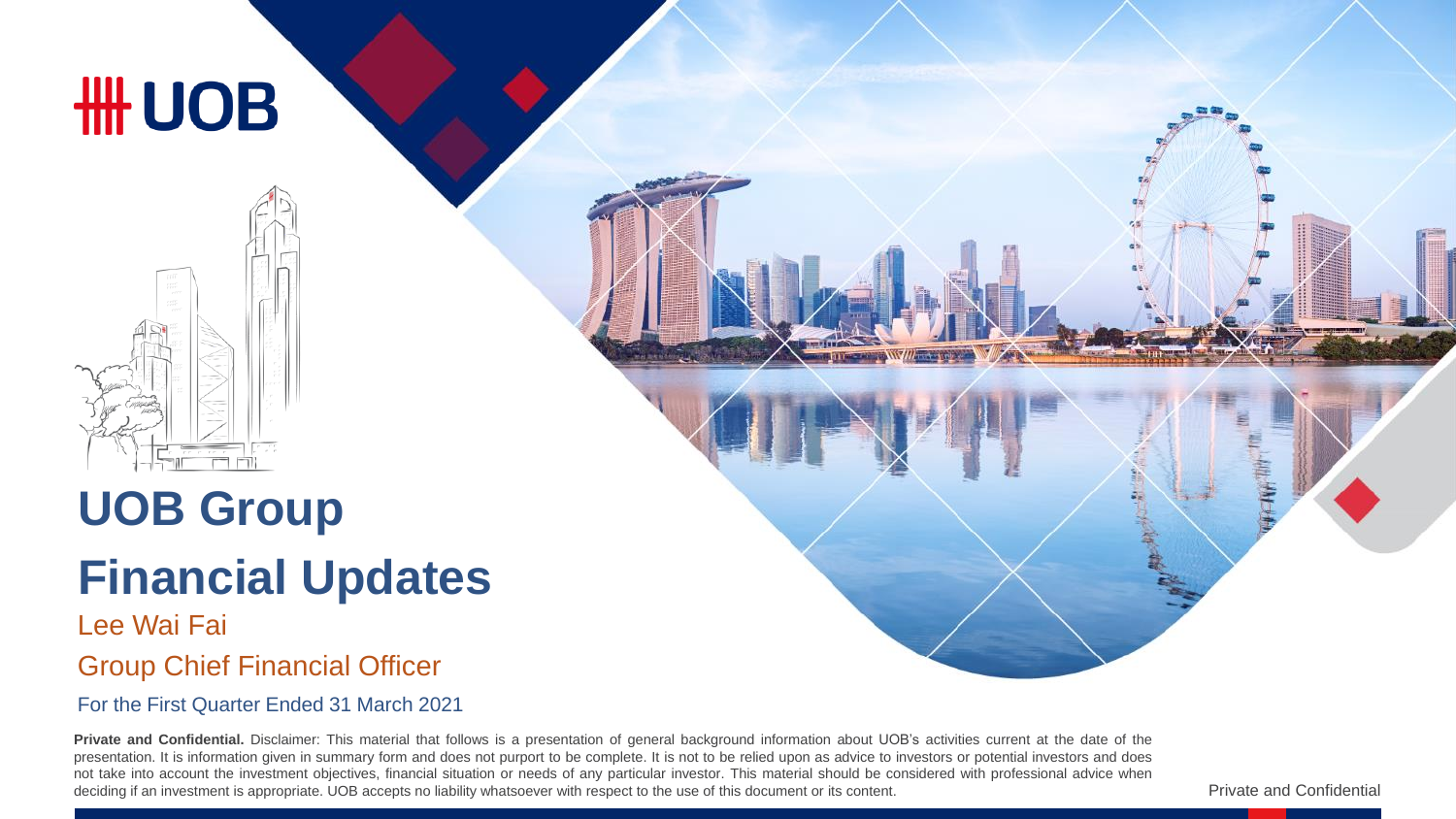# **HH UOB**



# **UOB Group**

# **Financial Updates**

#### Lee Wai Fai Group Chief Financial Officer

For the First Quarter Ended 31 March 2021

**Private and Confidential.** Disclaimer: This material that follows is a presentation of general background information about UOB's activities current at the date of the presentation. It is information given in summary form and does not purport to be complete. It is not to be relied upon as advice to investors or potential investors and does not take into account the investment objectives, financial situation or needs of any particular investor. This material should be considered with professional advice when deciding if an investment is appropriate. UOB accepts no liability whatsoever with respect to the use of this document or its content.

Private and Confidential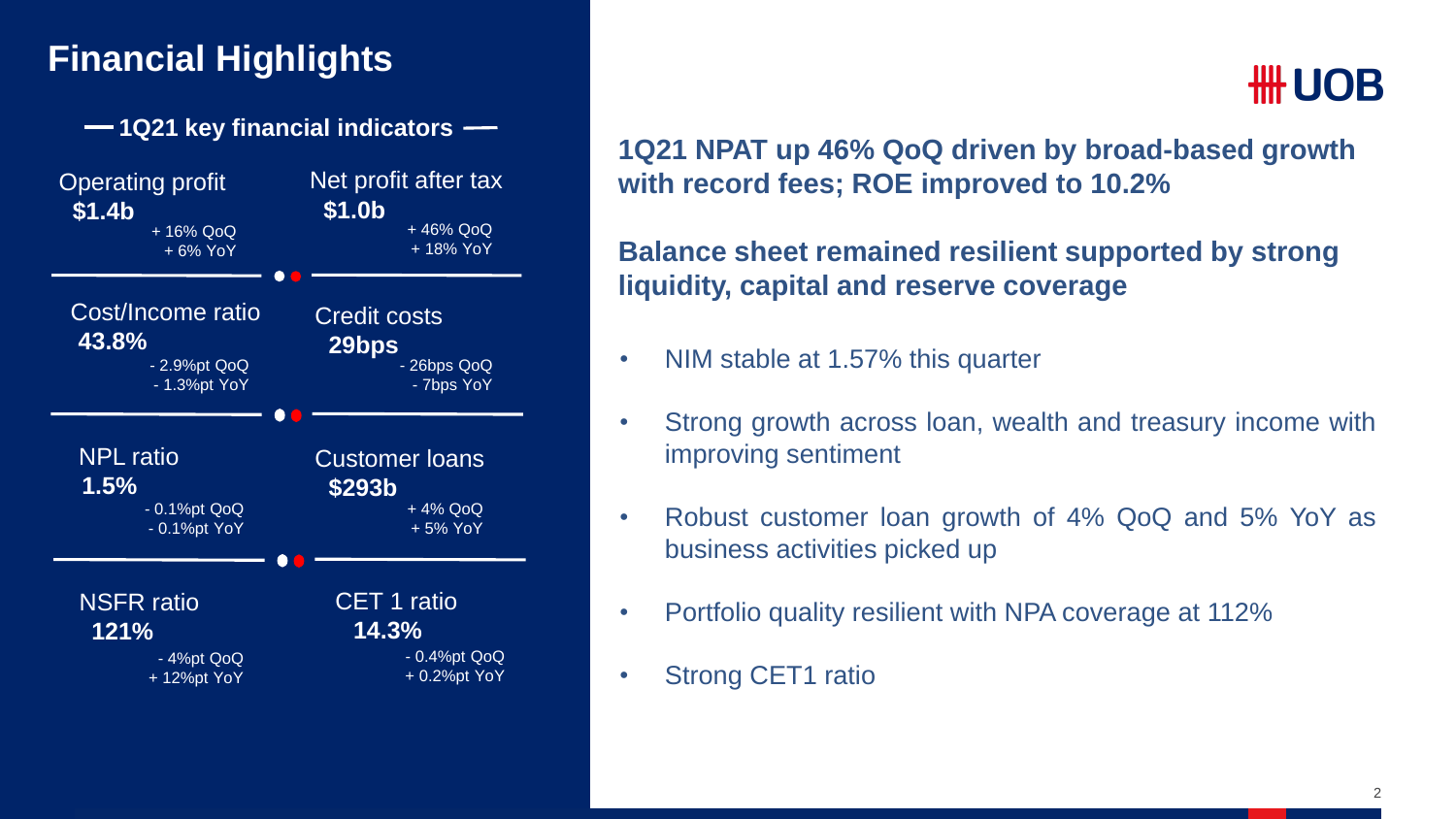#### **Financial Highlights**

**1Q21 key financial indicators**



# #H UOB

**1Q21 NPAT up 46% QoQ driven by broad-based growth with record fees; ROE improved to 10.2%**

**Balance sheet remained resilient supported by strong liquidity, capital and reserve coverage**

- NIM stable at 1.57% this quarter
- Strong growth across loan, wealth and treasury income with improving sentiment
- Robust customer loan growth of 4% QoQ and 5% YoY as business activities picked up
- Portfolio quality resilient with NPA coverage at 112%
- Strong CET1 ratio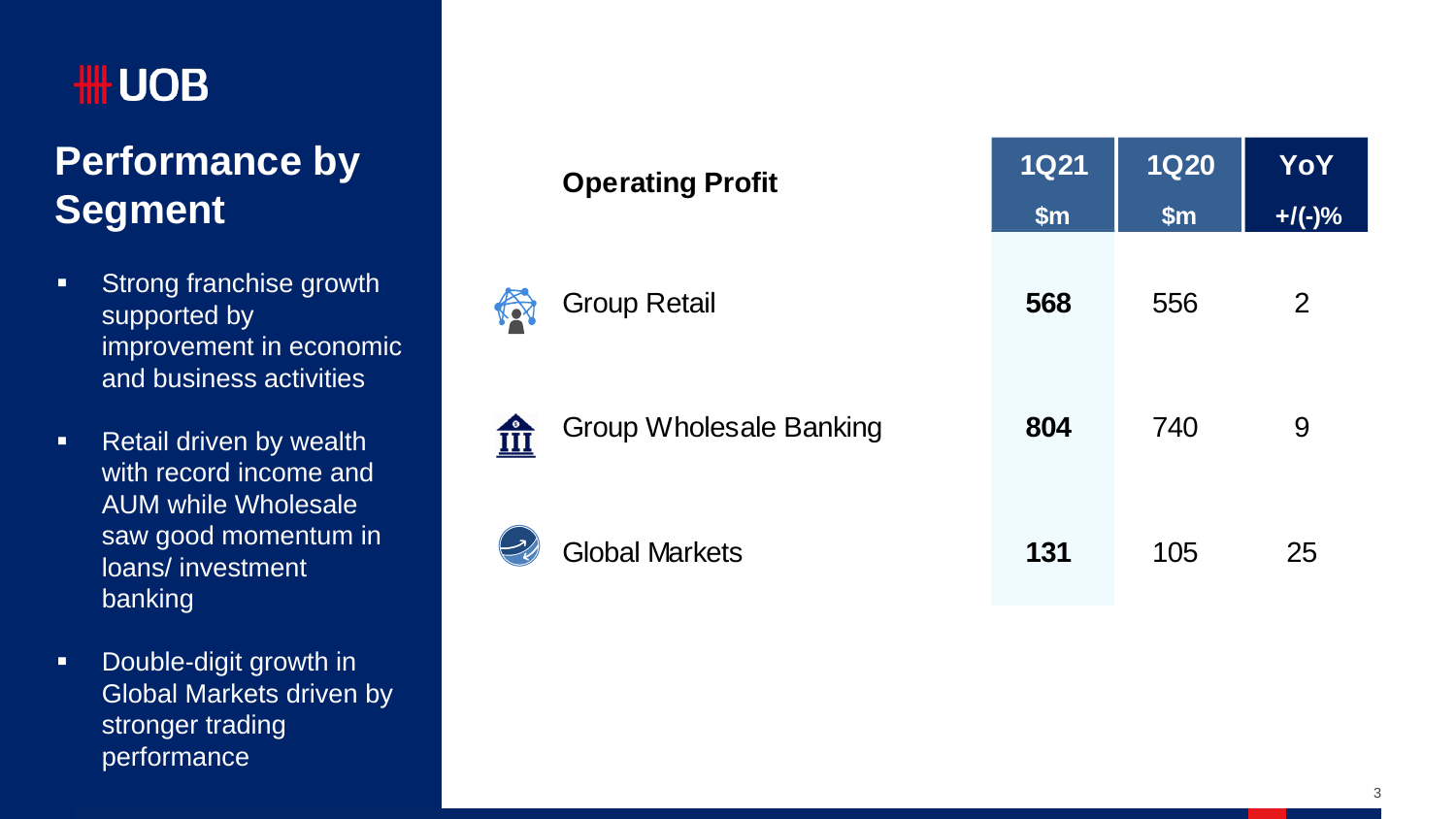# **HH UOB**

# **Performance by Segment**

- **Strong franchise growth** supported by improvement in economic and business activities
- **Retail driven by wealth** with record income and AUM while Wholesale saw good momentum in loans/ investment banking
- **-** Double-digit growth in Global Markets driven by stronger trading performance

|            | <b>Operating Profit</b>        | <b>1Q21</b><br>\$m\$ | <b>1Q20</b><br>\$m\$ | YoY<br>$+$ /(-)% |
|------------|--------------------------------|----------------------|----------------------|------------------|
| <b>IOY</b> | <b>Group Retail</b>            | 568                  | 556                  | $\overline{2}$   |
| <u>fii</u> | <b>Group Wholesale Banking</b> | 804                  | 740                  | 9                |
|            | <b>Global Markets</b>          | 131                  | 105                  | 25               |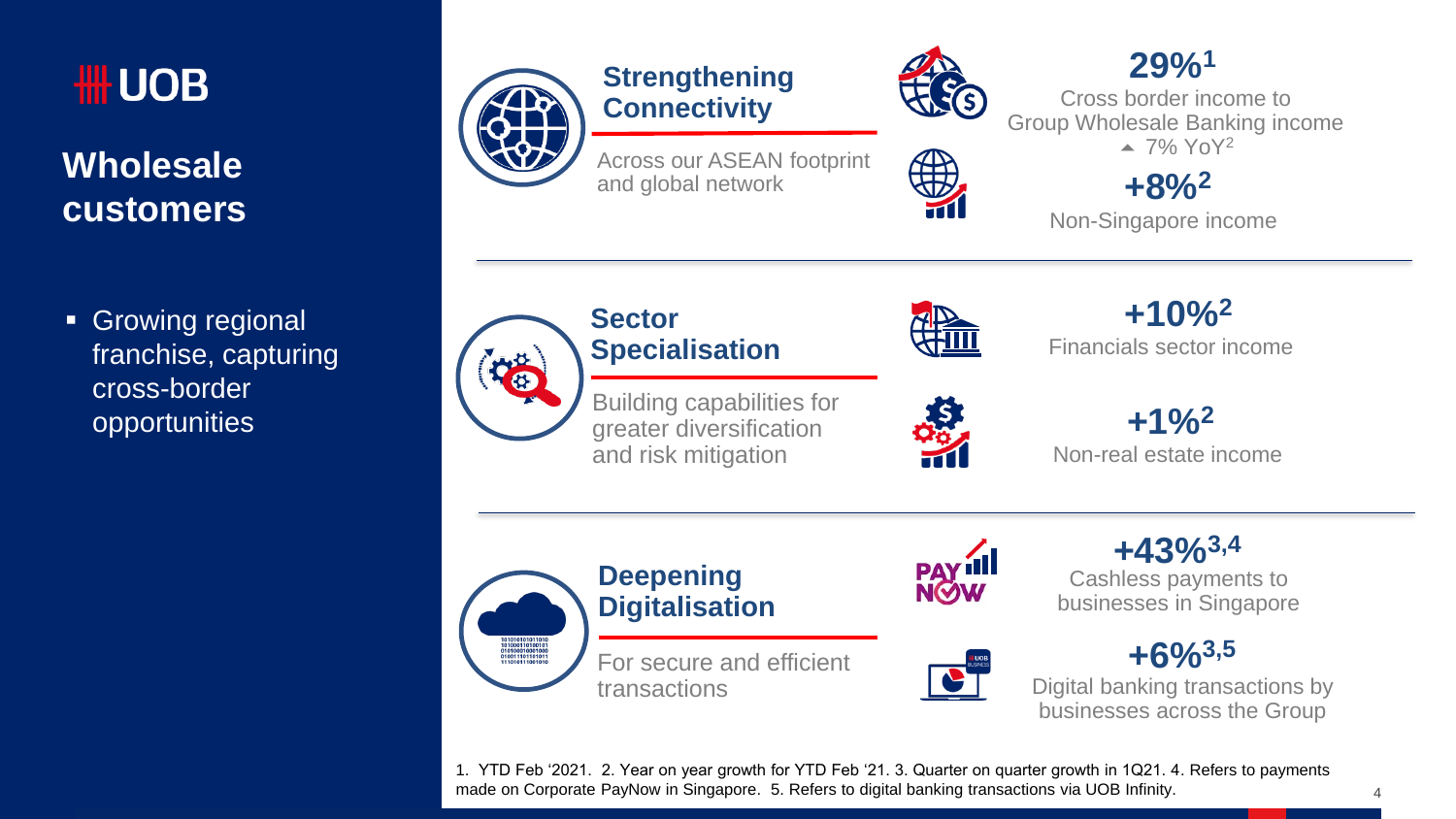

#### **Wholesale customers**

**Growing regional** franchise, capturing cross-border opportunities



#### **Strengthening Connectivity**

Across our ASEAN footprint and global network



 $\bigoplus$ 

#### **29%<sup>1</sup>**

Cross border income to Group Wholesale Banking income  $\triangle$  7% YoY<sup>2</sup>

#### **+8%<sup>2</sup>**

Non-Singapore income



#### **Sector Specialisation**



Financials sector income **+10%<sup>2</sup>**

Non-real estate income **+1%<sup>2</sup>**





Cashless payments to businesses in Singapore **+43%3,4**



Digital banking transactions by businesses across the Group

1. YTD Feb '2021. 2. Year on year growth for YTD Feb '21. 3. Quarter on quarter growth in 1Q21. 4. Refers to payments made on Corporate PayNow in Singapore. 5. Refers to digital banking transactions via UOB Infinity.

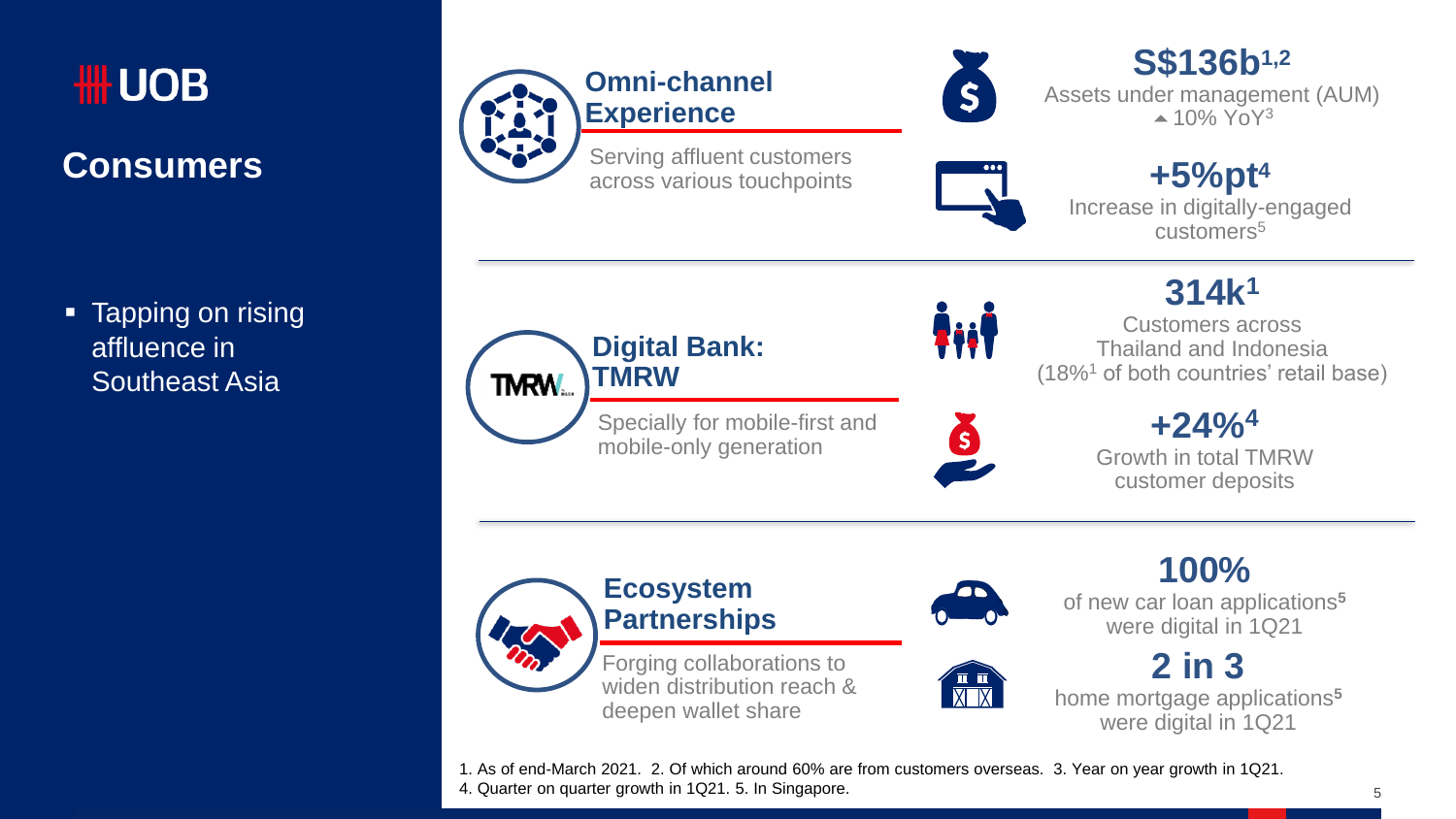

#### **Consumers**

• Tapping on rising affluence in Southeast Asia



**TMRW**

**TMRW.** 

**Ecosystem Partnerships**

Forging collaborations to widen distribution reach & deepen wallet share

Specially for mobile-first and mobile-only generation



İjiİ

Ŏ

**S\$136b1,2** Assets under management (AUM)  $\triangle$  10% YoY<sup>3</sup>



**+5%pt<sup>4</sup>** Increase in digitally-engaged customers<sup>5</sup>

**314k<sup>1</sup>**

Customers across Thailand and Indonesia (18%<sup>1</sup> of both countries' retail base)

> **+24%<sup>4</sup>** Growth in total TMRW customer deposits

**100%** of new car loan applications**<sup>5</sup>** were digital in 1Q21

**2 in 3** home mortgage applications**<sup>5</sup>** were digital in 1Q21

1. As of end-March 2021. 2. Of which around 60% are from customers overseas. 3. Year on year growth in 1Q21. 4. Quarter on quarter growth in 1Q21. 5. In Singapore.

5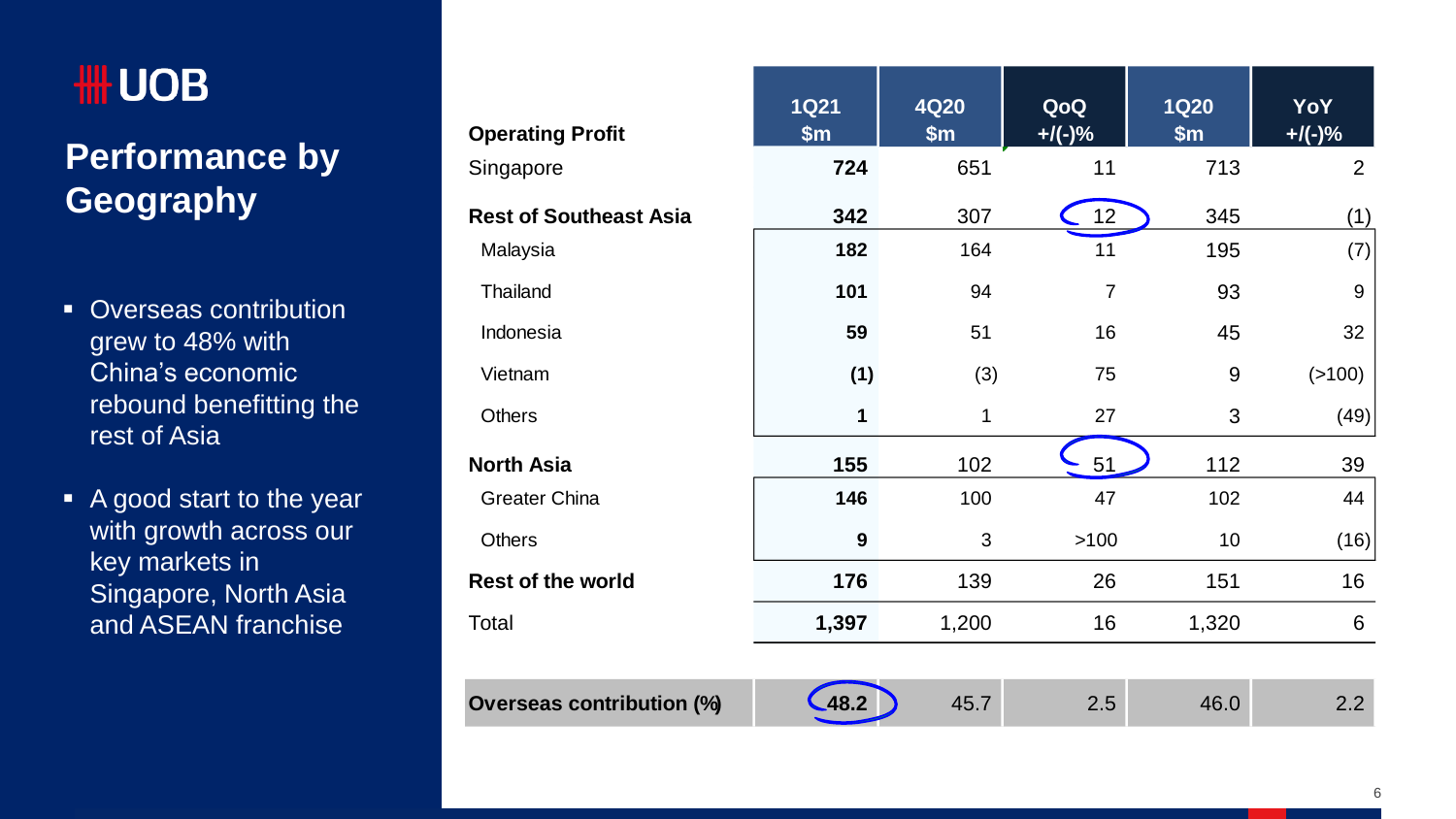## **Performance by Geography**

- grew to 48% with China's economic rebound benefitting the rest of Asia
- A good start to the year with growth across our key markets in Singapore, North Asia and ASEAN franchise

| IIII UUD                                 |                                  | <b>1Q21</b>      | 4Q20         | QoQ             | <b>1Q20</b> | <b>YoY</b> |
|------------------------------------------|----------------------------------|------------------|--------------|-----------------|-------------|------------|
|                                          | <b>Operating Profit</b>          | \$m\$            | \$m\$        | $+$ /(-)%       | \$m\$       | $+$ /(-)%  |
| <b>Performance by</b>                    | Singapore                        | 724              | 651          | 11              | 713         | 2          |
| Geography                                | <b>Rest of Southeast Asia</b>    | 342              | 307          | 12 <sub>2</sub> | 345         | (1)        |
|                                          | Malaysia                         | 182              | 164          | 11              | 195         | (7)        |
| <b>Overseas contribution</b>             | Thailand                         | 101              | 94           | $\overline{7}$  | 93          | 9          |
| grew to 48% with                         | Indonesia                        | 59               | 51           | 16              | 45          | 32         |
| China's economic                         | Vietnam                          | (1)              | (3)          | 75              | 9           | (>100)     |
| rebound benefitting the<br>rest of Asia  | <b>Others</b>                    | 1                | 1            | 27              | 3           | (49)       |
|                                          | <b>North Asia</b>                | 155              | 102          | 51              | 112         | 39         |
| A good start to the year                 | Greater China                    | 146              | 100          | 47              | 102         | 44         |
| with growth across our<br>key markets in | <b>Others</b>                    | $\boldsymbol{9}$ | $\mathbf{3}$ | >100            | 10          | (16)       |
| Singapore, North Asia                    | <b>Rest of the world</b>         | 176              | 139          | 26              | 151         | 16         |
| and ASEAN franchise                      | Total                            | 1,397            | 1,200        | 16              | 1,320       | 6          |
|                                          |                                  |                  |              |                 |             |            |
|                                          | <b>Overseas contribution (%)</b> | 48.2             | 45.7         | 2.5             | 46.0        | 2.2        |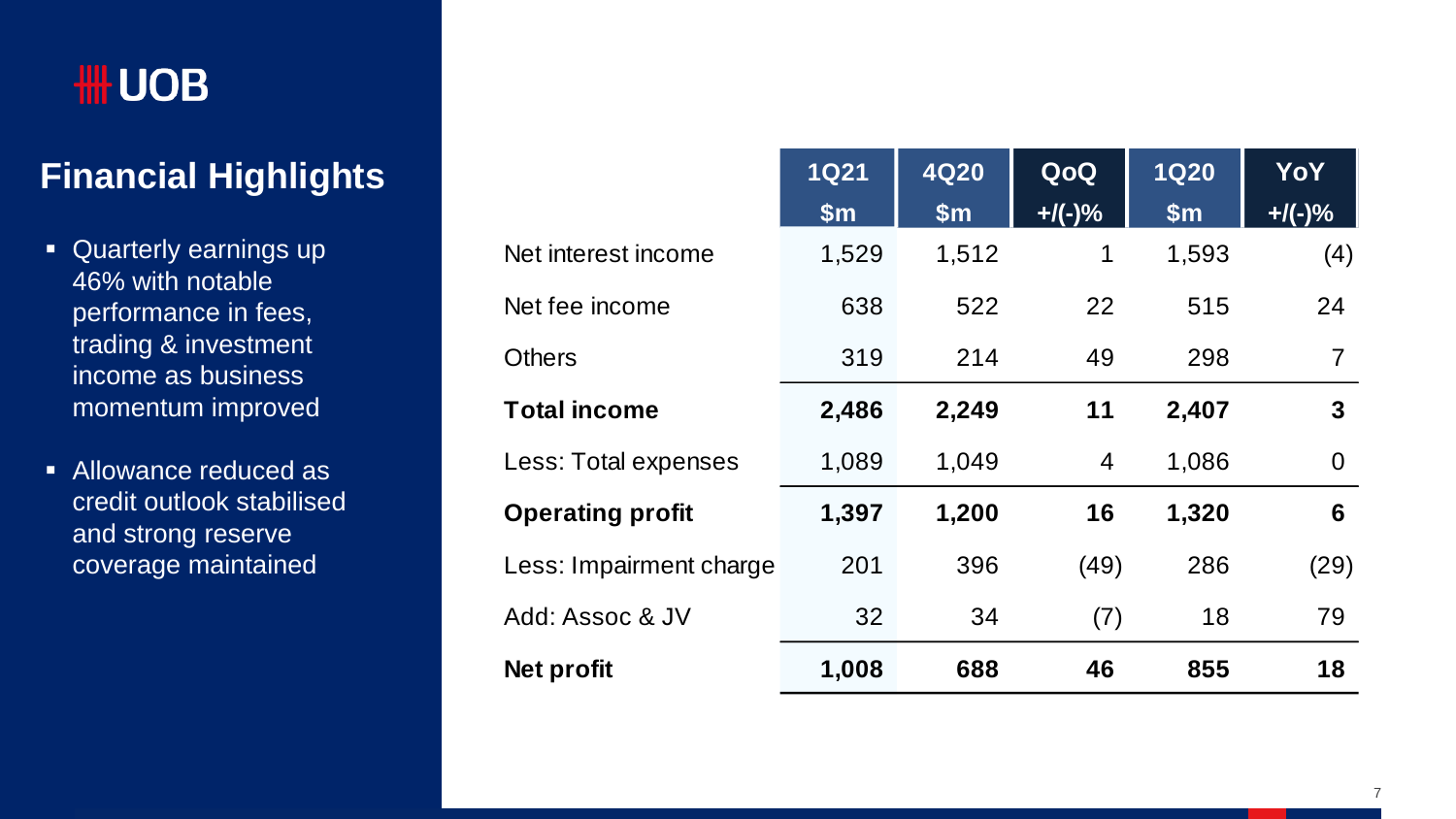### **Financial Highlights**

- Quarterly earnings up 46% with notable performance in fees, trading & investment income as business momentum improved
- **Allowance reduced as** credit outlook stabilised and strong reserve coverage maintained

|                         | <b>1Q21</b> | <b>4Q20</b> | QoQ       | <b>1Q20</b> | YoY          |
|-------------------------|-------------|-------------|-----------|-------------|--------------|
|                         | \$m\$       | \$m\$       | $+$ /(-)% | \$m\$       | $+$ /(-)%    |
| Net interest income     | 1,529       | 1,512       | 1         | 1,593       | (4)          |
| Net fee income          | 638         | 522         | 22        | 515         | 24           |
| Others                  | 319         | 214         | 49        | 298         | 7            |
| <b>Total income</b>     | 2,486       | 2,249       | 11        | 2,407       | $\mathbf{3}$ |
| Less: Total expenses    | 1,089       | 1,049       | 4         | 1,086       | 0            |
| <b>Operating profit</b> | 1,397       | 1,200       | 16        | 1,320       | 6            |
| Less: Impairment charge | 201         | 396         | (49)      | 286         | (29)         |
| Add: Assoc & JV         | 32          | 34          | (7)       | 18          | 79           |
| Net profit              | 1,008       | 688         | 46        | 855         | 18           |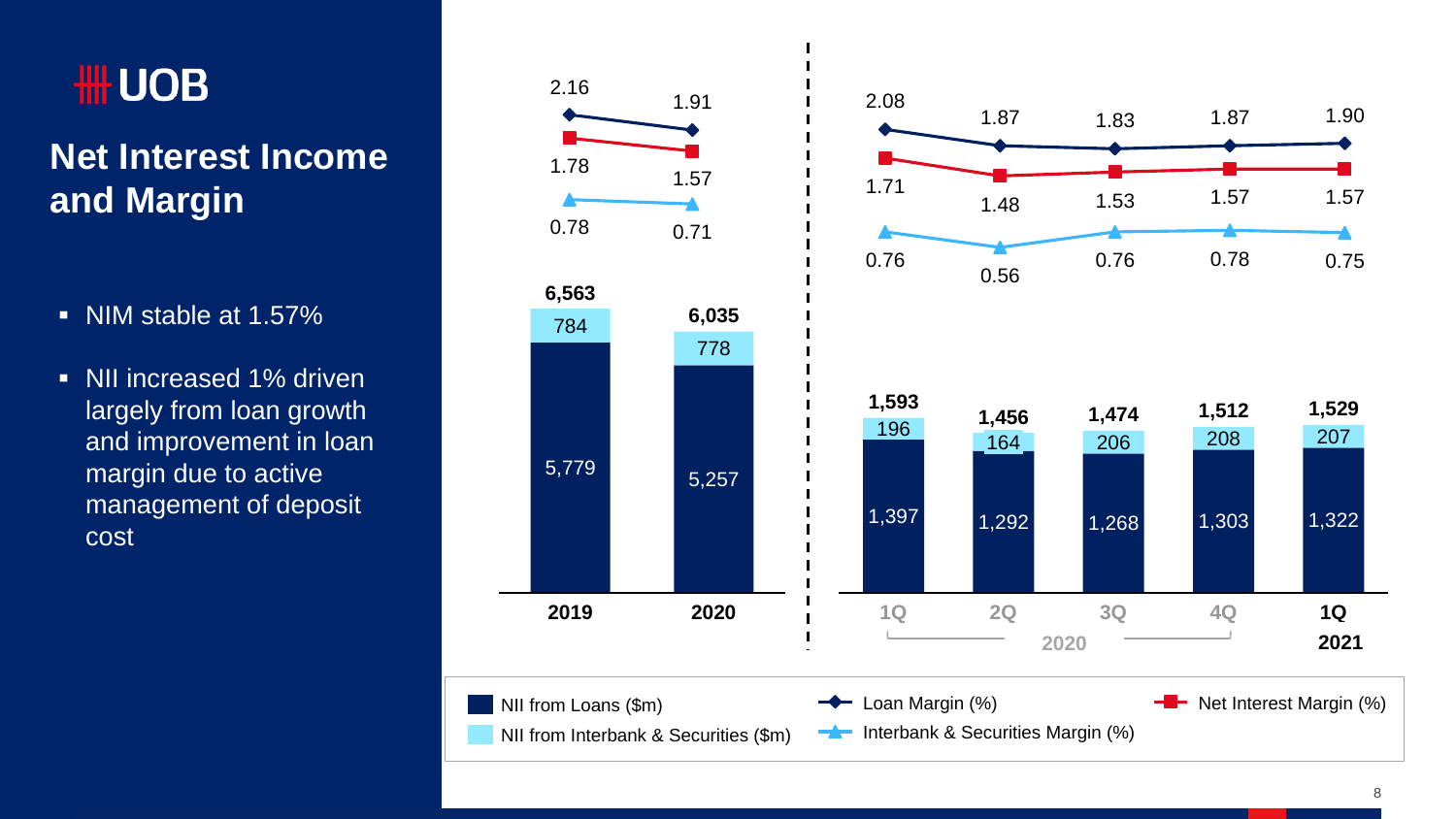# **HILL UOB**

### **Net Interest Income and Margin**

- NIM stable at 1.57%
- NII increased 1% driven largely from loan growth and improvement in loan margin due to active management of deposit cost

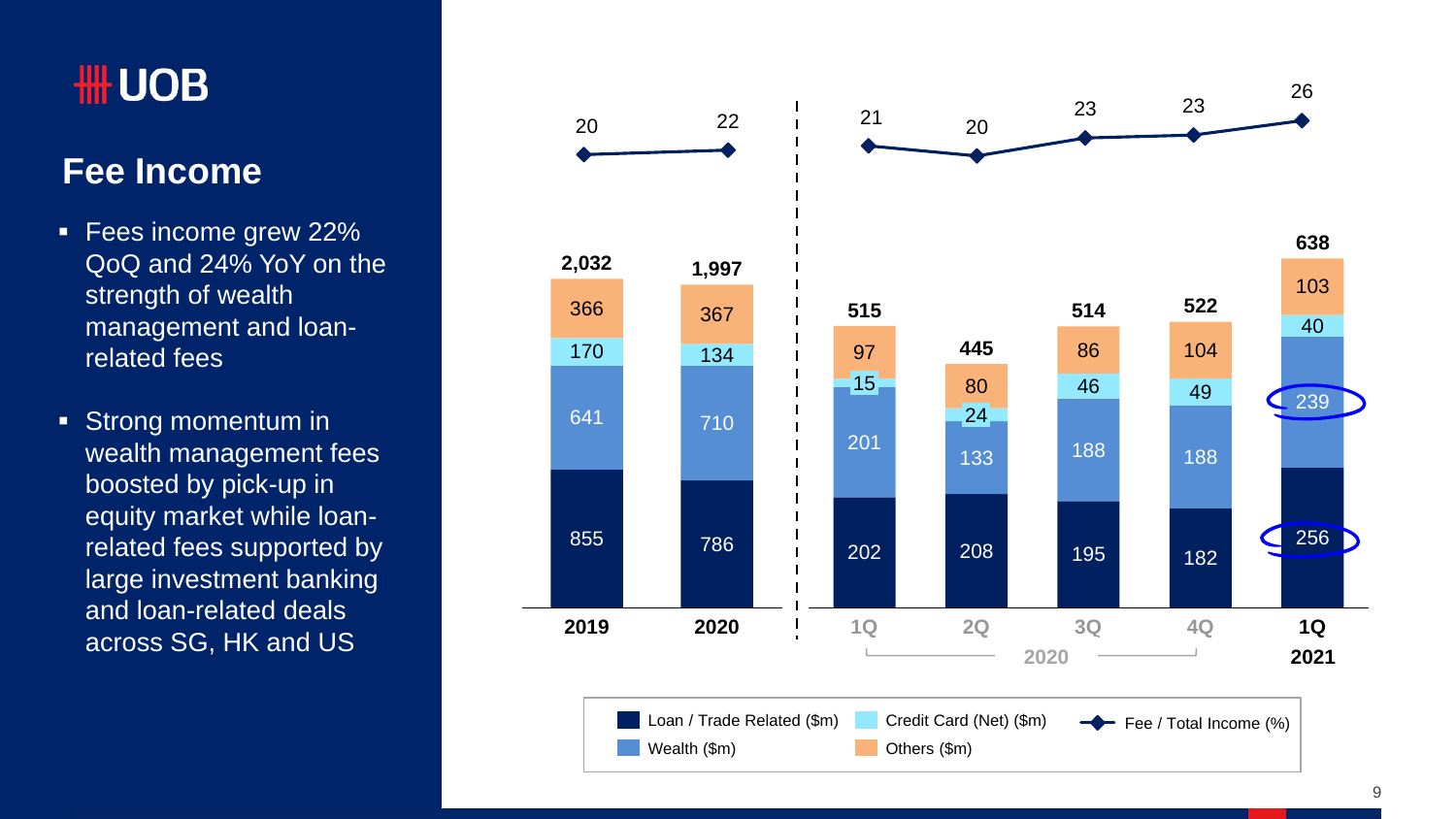#### **Fee Income**

- **Fees income grew 22%** QoQ and 24% YoY on the strength of wealth management and loanrelated fees
- **Strong momentum in** wealth management fees boosted by pick-up in equity market while loanrelated fees supported by large investment banking and loan-related deals across SG, HK and US

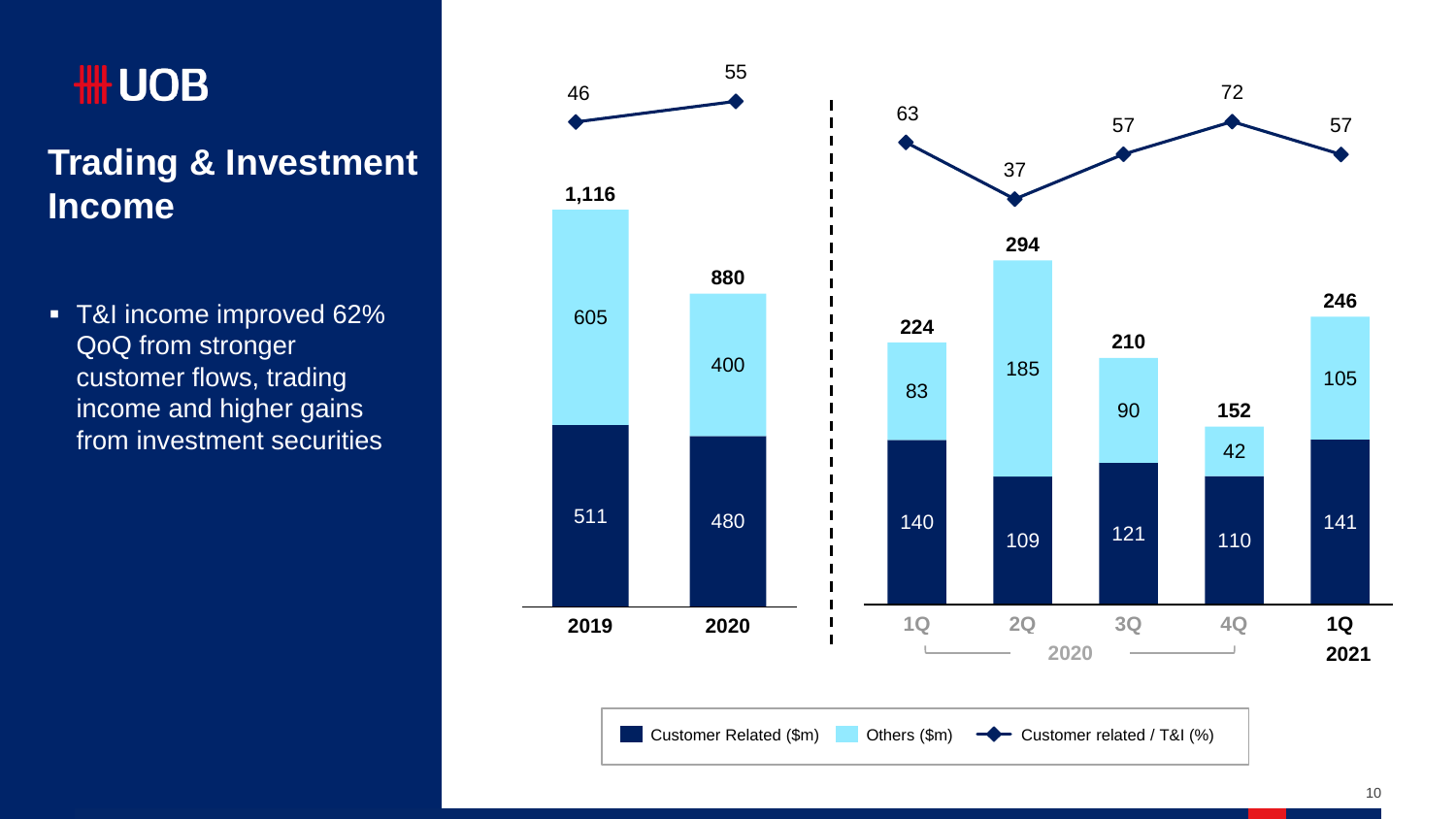### **Trading & Investment Income**

**T&I income improved 62%** QoQ from stronger customer flows, trading income and higher gains from investment securities

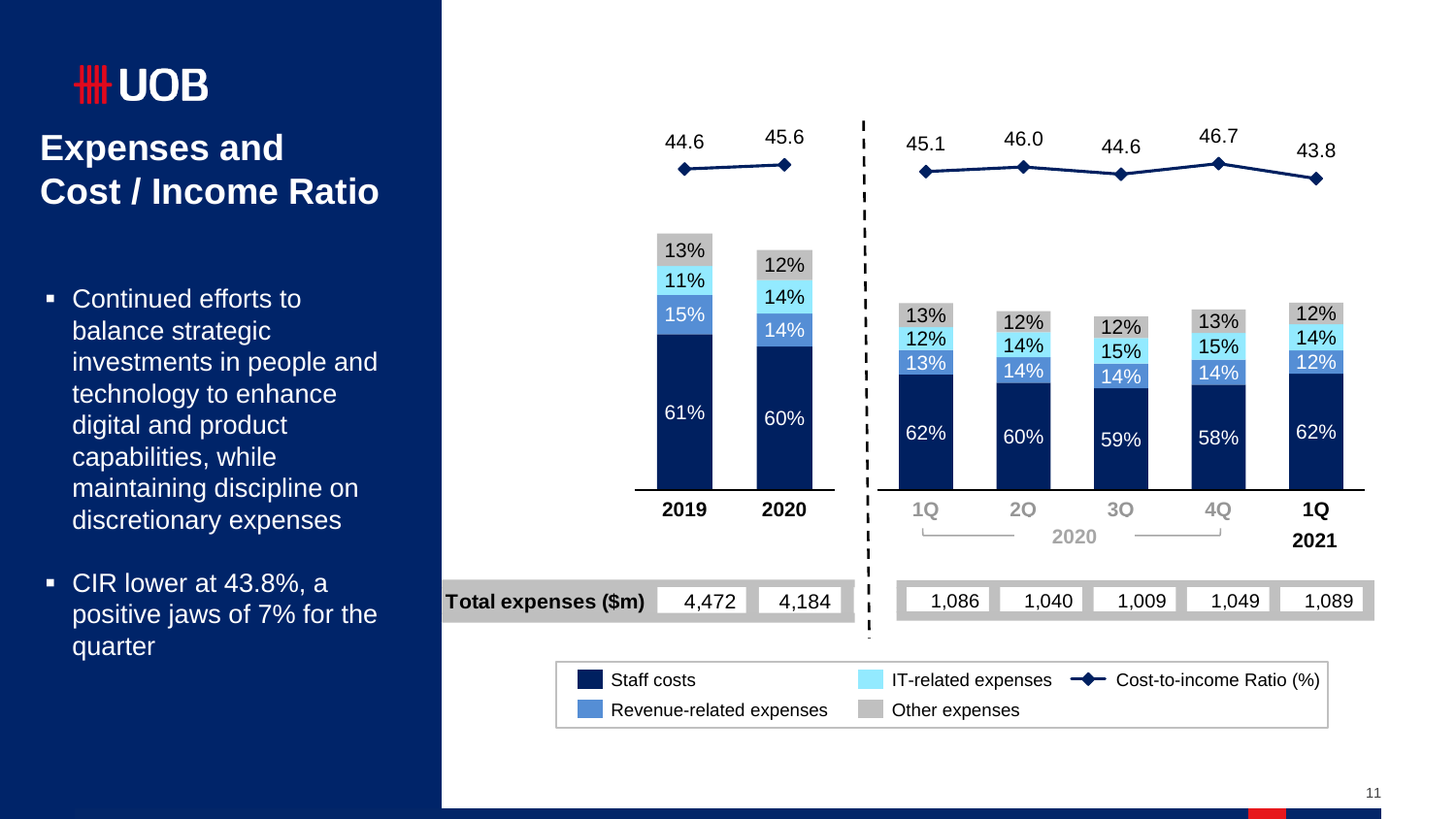# **HILL UOB**

#### **Expenses and Cost / Income Ratio**

- Continued efforts to balance strategic investments in people and technology to enhance digital and product capabilities, while maintaining discipline on discretionary expenses
- CIR lower at 43.8%, a positive jaws of 7% for the quarter

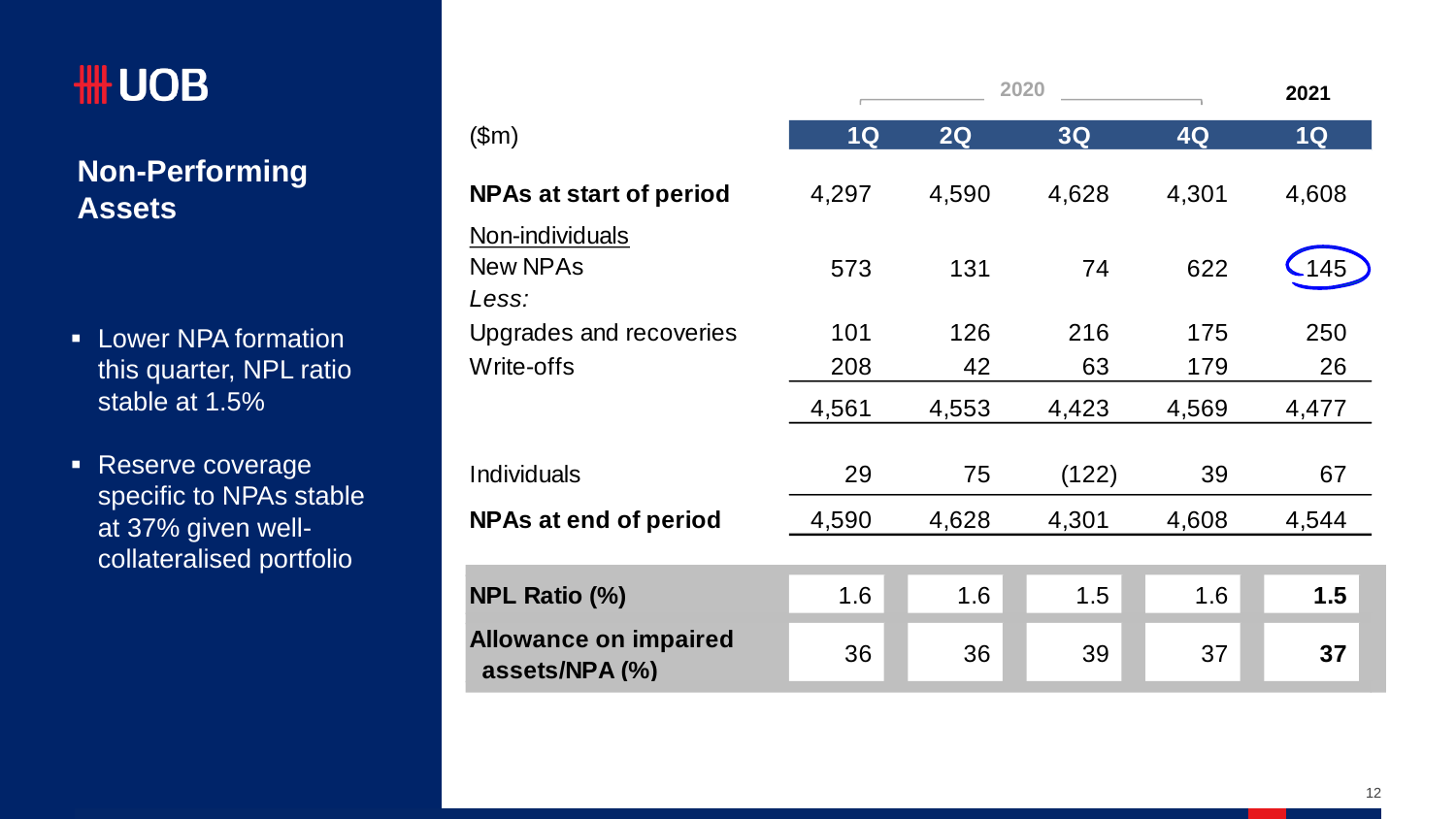# **HH UOB**

#### **Non -Performing Assets**

- **-** Lower NPA formation this quarter, NPL ratio stable at 1.5%
- **Reserve coverage** specific to NPAs stable at 37% given well collateralised portfolio

|                                                | 2020  |       |       | 2021  |       |
|------------------------------------------------|-------|-------|-------|-------|-------|
| \$m\$                                          | 1Q    | 2Q    | 3Q    | 4Q    | 1Q    |
| <b>NPAs at start of period</b>                 | 4,297 | 4,590 | 4,628 | 4,301 | 4,608 |
| Non-individuals<br><b>New NPAs</b><br>Less:    | 573   | 131   | 74    | 622   | 145   |
| Upgrades and recoveries                        | 101   | 126   | 216   | 175   | 250   |
| Write-offs                                     | 208   | 42    | 63    | 179   | 26    |
|                                                | 4,561 | 4,553 | 4,423 | 4,569 | 4,477 |
| Individuals                                    | 29    | 75    | (122) | 39    | 67    |
| <b>NPAs at end of period</b>                   | 4,590 | 4,628 | 4,301 | 4,608 | 4,544 |
|                                                |       |       |       |       |       |
| <b>NPL Ratio (%)</b>                           | 1.6   | 1.6   | 1.5   | 1.6   | 1.5   |
| <b>Allowance on impaired</b><br>assets/NPA (%) | 36    | 36    | 39    | 37    | 37    |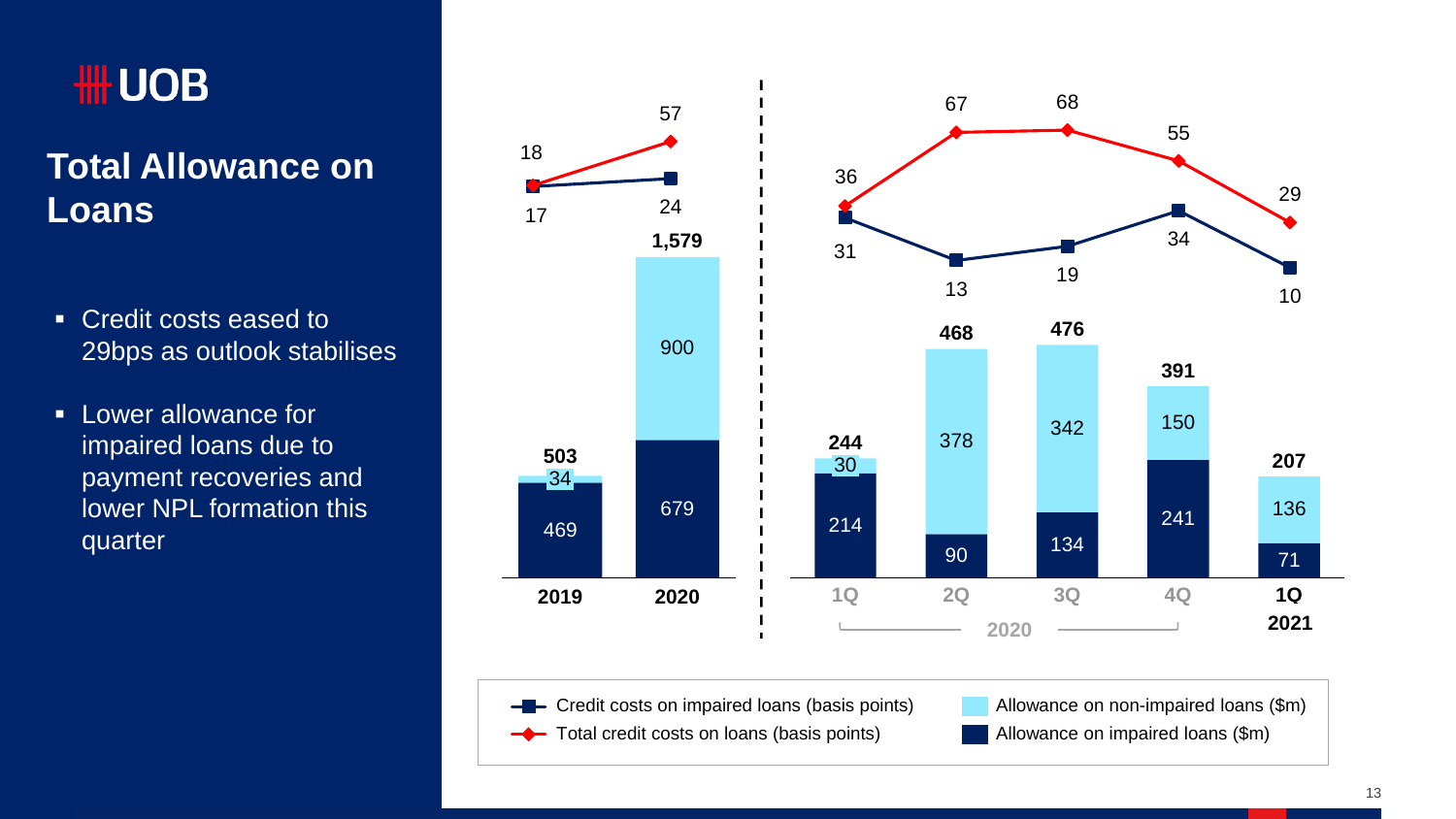# **HILL UOB**

#### **Total Allowance on Loans**

- Credit costs eased to 29bps as outlook stabilises
- **Lower allowance for** impaired loans due to payment recoveries and lower NPL formation this quarter



Credit costs on impaired loans (basis points) - -

Allowance on non-impaired loans (\$m) Allowance on impaired loans (\$m)

Total credit costs on loans (basis points)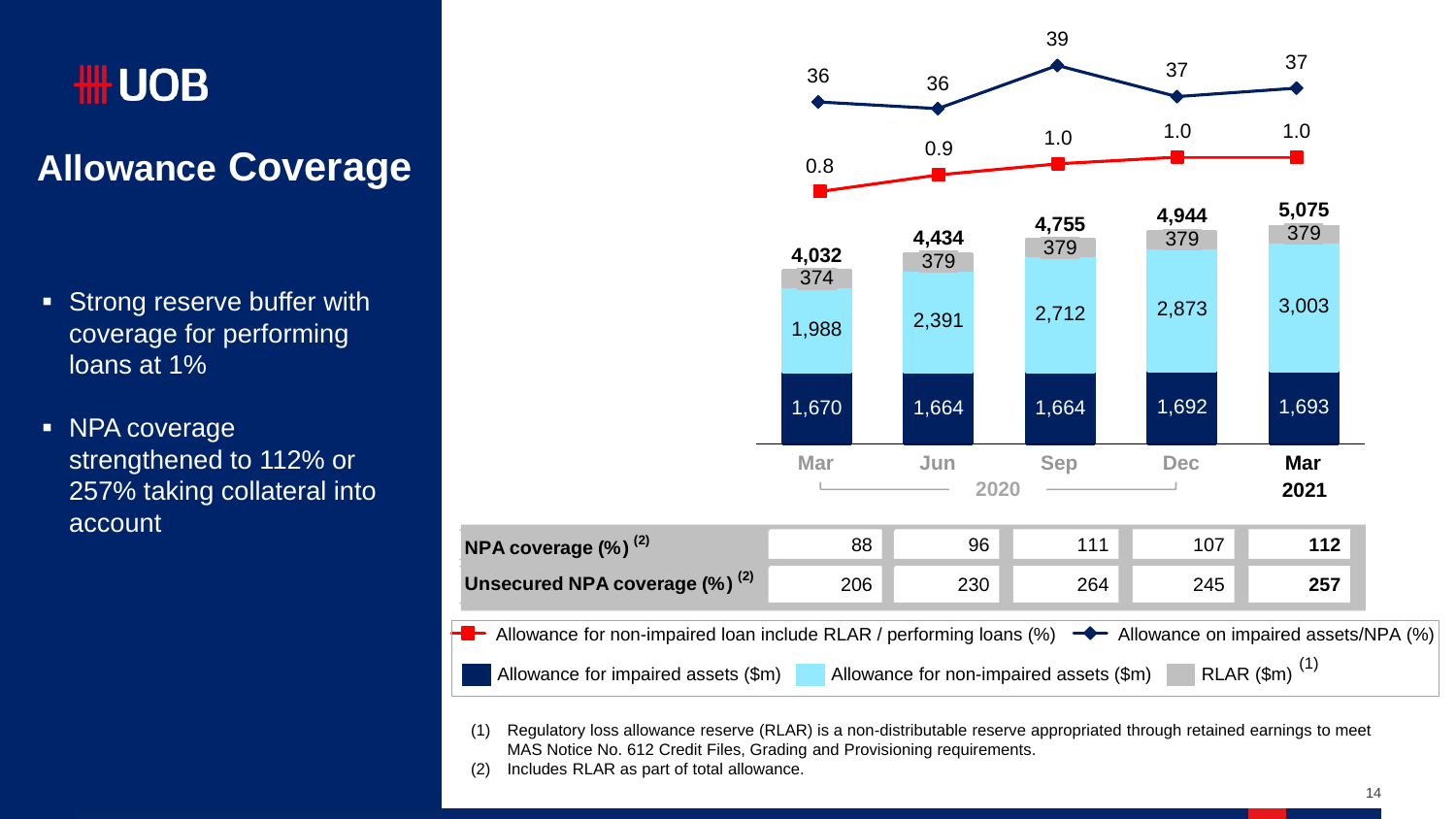# **HILL UOB**

### **Allowance Coverage**

- **Strong reserve buffer with** coverage for performing loans at 1%
- NPA coverage strengthened to 112% or 257% taking collateral into account



- (1) Regulatory loss allowance reserve (RLAR) is a non-distributable reserve appropriated through retained earnings to meet MAS Notice No. 612 Credit Files, Grading and Provisioning requirements.
- (2) Includes RLAR as part of total allowance.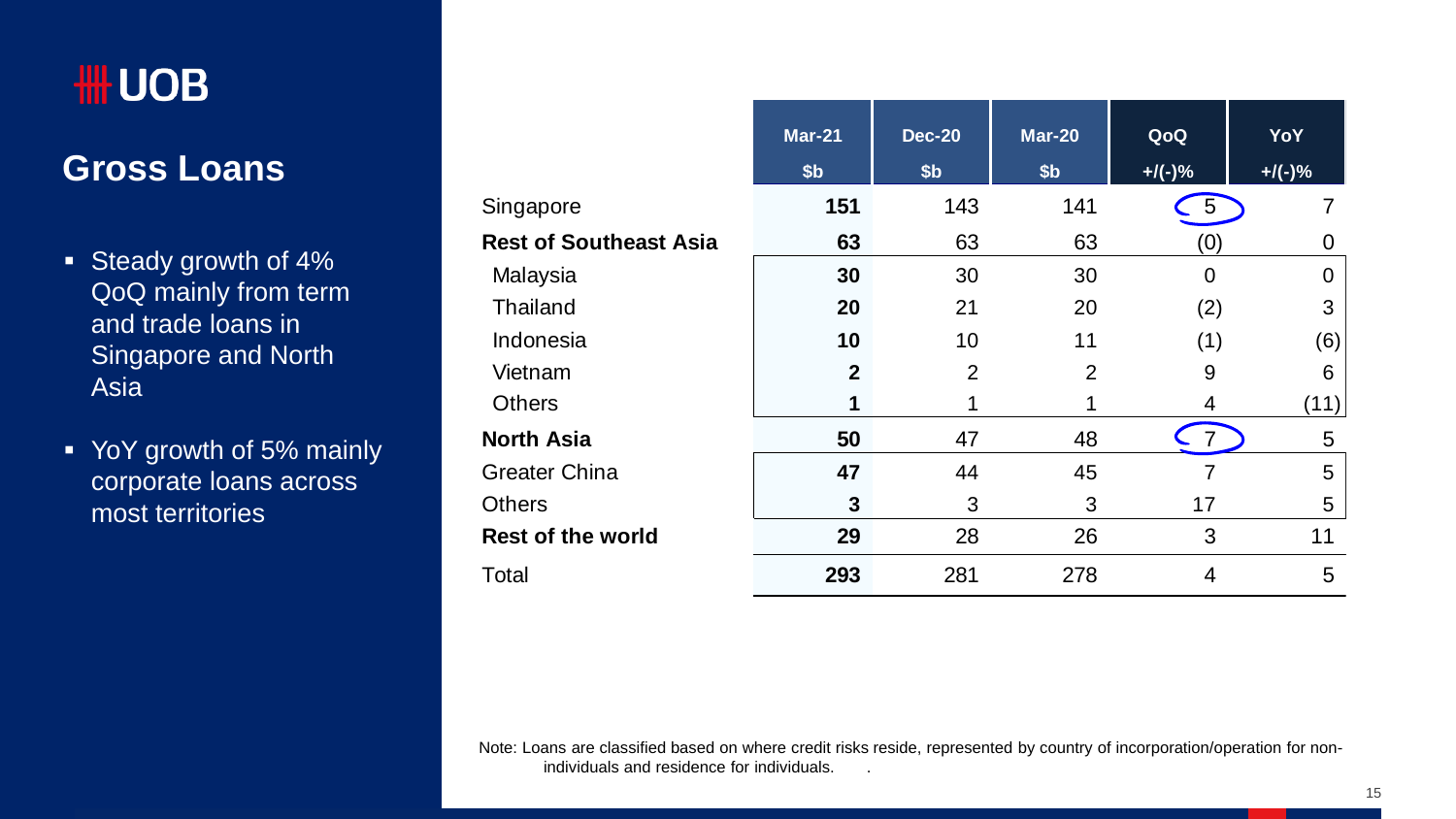#### **Gross Loans**

- Steady growth of 4% QoQ mainly from term and trade loans in Singapore and North Asia
- YoY growth of 5% mainly corporate loans across most territories

|                               | $Mar-21$        | <b>Dec-20</b>   | <b>Mar-20</b>   | QoQ            | <b>YoY</b> |
|-------------------------------|-----------------|-----------------|-----------------|----------------|------------|
|                               |                 |                 |                 |                |            |
|                               | \$ <sub>b</sub> | \$ <sub>b</sub> | \$ <sub>b</sub> | $+$ /(-)%      | $+$ /(-)%  |
| Singapore                     | 151             | 143             | 141             | $5^{\circ}$    |            |
| <b>Rest of Southeast Asia</b> | 63              | 63              | 63              | (0)            | 0          |
| Malaysia                      | 30              | 30              | 30              | $\overline{0}$ | $\Omega$   |
| Thailand                      | 20              | 21              | 20              | (2)            | 3          |
| Indonesia                     | 10              | 10              | 11              | (1)            | (6)        |
| Vietnam                       | $\mathbf{2}$    | $\overline{2}$  | $\overline{2}$  | 9              | 6          |
| <b>Others</b>                 | 1               | 1               | 1               | 4              | (11)       |
| <b>North Asia</b>             | 50              | 47              | 48              |                | 5          |
| <b>Greater China</b>          | 47              | 44              | 45              | 7              | 5          |
| <b>Others</b>                 | 3               | 3               | 3               | 17             | 5          |
| <b>Rest of the world</b>      | 29              | 28              | 26              | 3              | 11         |
| Total                         | 293             | 281             | 278             | 4              | 5          |

Note: Loans are classified based on where credit risks reside, represented by country of incorporation/operation for nonindividuals and residence for individuals. .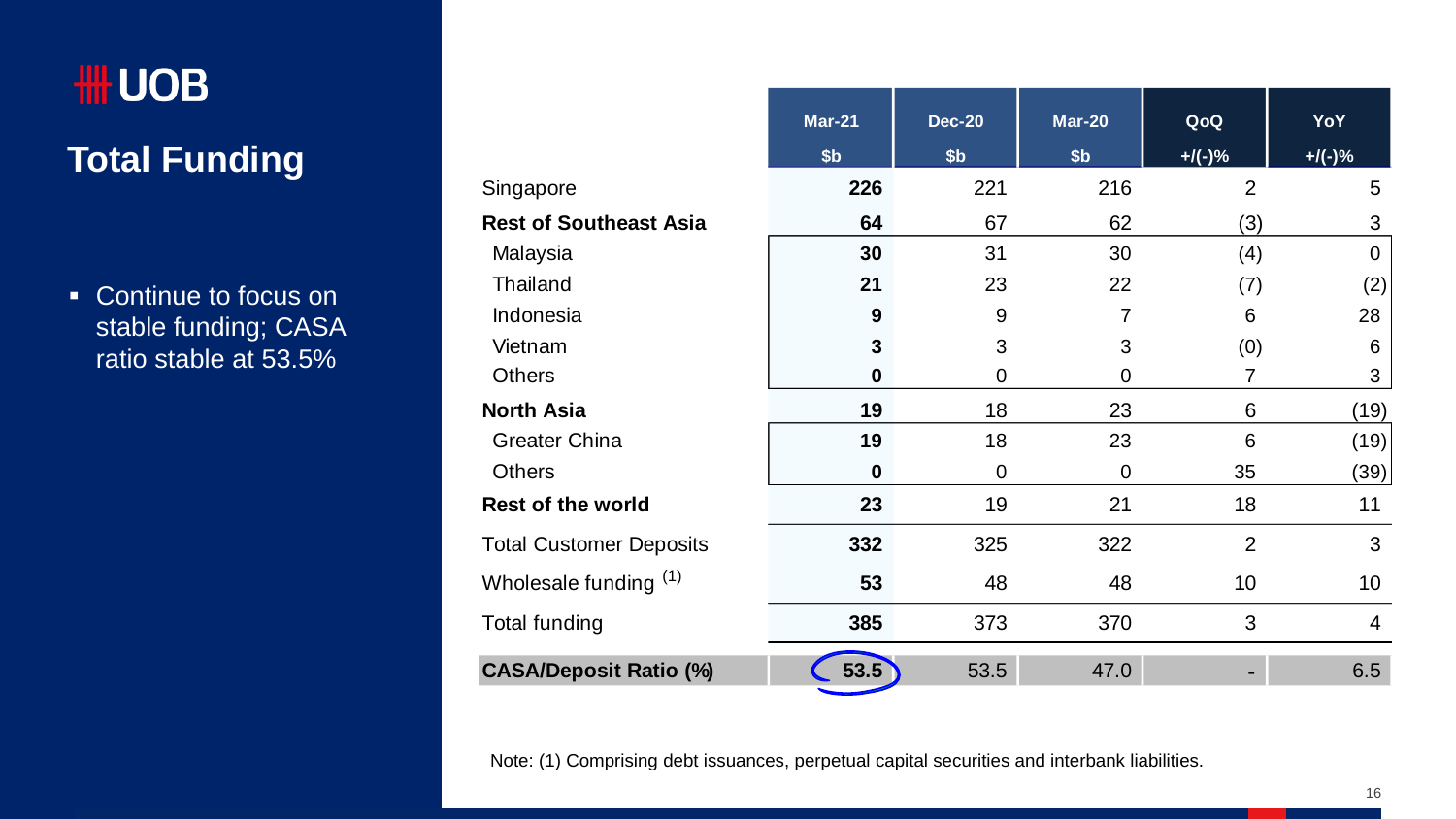# ₩UOB **Total Funding**

• Continue to focus on stable funding; CASA ratio stable at 53.5%

|                                | $Mar-21$         | <b>Dec-20</b>   | <b>Mar-20</b>   | QoQ            | YoY       |
|--------------------------------|------------------|-----------------|-----------------|----------------|-----------|
|                                | \$ <sub>b</sub>  | \$ <sub>b</sub> | \$ <sub>b</sub> | $+$ /(-)%      | $+$ /(-)% |
| Singapore                      | 226              | 221             | 216             | $\overline{2}$ | 5         |
| <b>Rest of Southeast Asia</b>  | 64               | 67              | 62              | (3)            | 3         |
| Malaysia                       | 30               | 31              | 30              | (4)            | $\Omega$  |
| Thailand                       | 21               | 23              | 22              | (7)            | (2)       |
| Indonesia                      | $\boldsymbol{9}$ | 9               | 7               | 6              | 28        |
| Vietnam                        | 3                | 3               | 3               | (0)            | 6         |
| <b>Others</b>                  | 0                | 0               | 0               | 7              | 3         |
| <b>North Asia</b>              | 19               | 18              | 23              | 6              | (19)      |
| Greater China                  | 19               | 18              | 23              | 6              | (19)      |
| <b>Others</b>                  | 0                | $\mathbf 0$     | 0               | 35             | (39)      |
| <b>Rest of the world</b>       | 23               | 19              | 21              | 18             | 11        |
| <b>Total Customer Deposits</b> | 332              | 325             | 322             | $\overline{2}$ | 3         |
| Wholesale funding (1)          | 53               | 48              | 48              | 10             | 10        |
| <b>Total funding</b>           | 385              | 373             | 370             | 3              | 4         |
| <b>CASA/Deposit Ratio (%)</b>  | 53.5             | 53.5            | 47.0            | ۰              | 6.5       |

Note: (1) Comprising debt issuances, perpetual capital securities and interbank liabilities.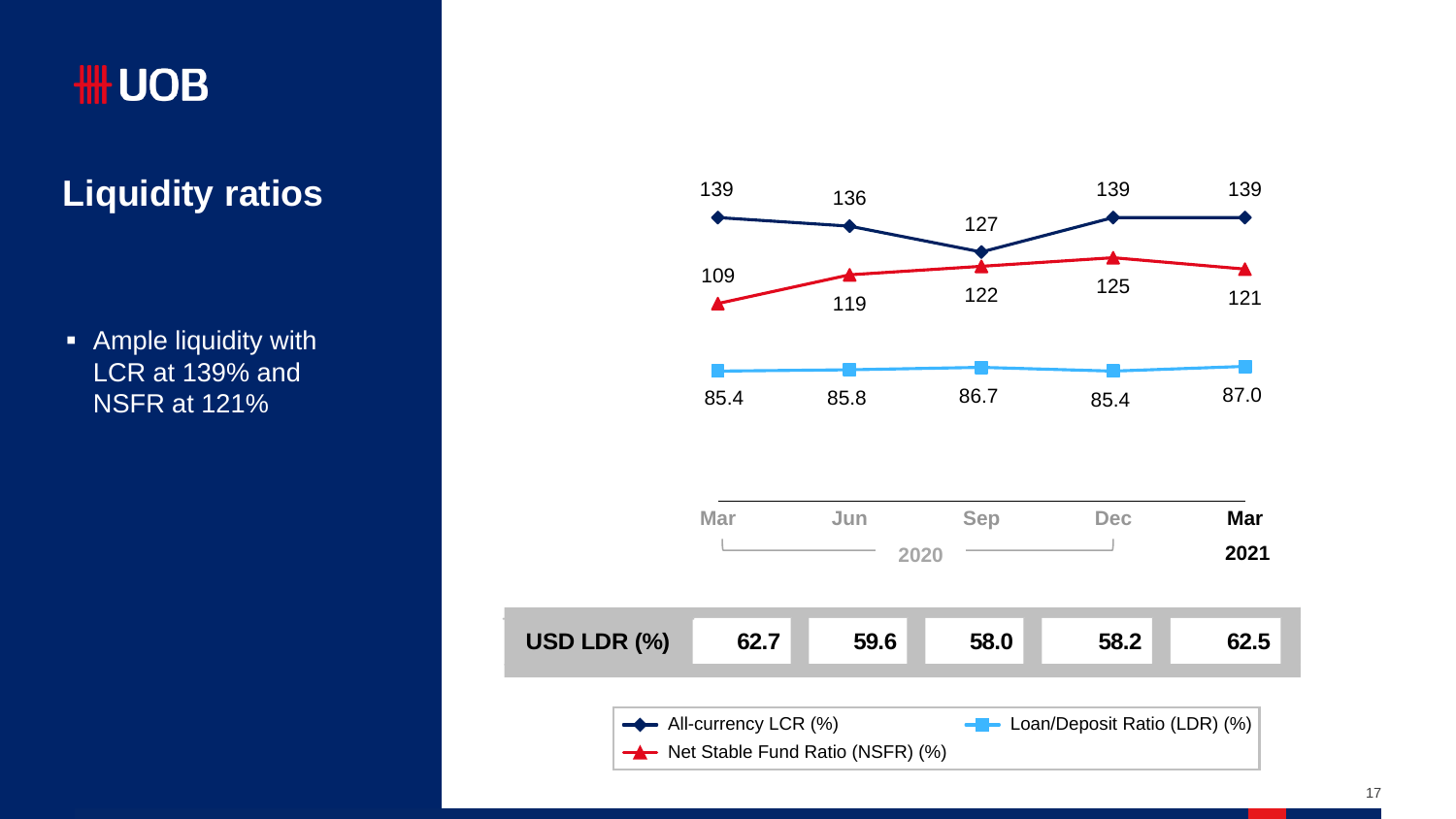## **Liquidity ratios**

**Ample liquidity with** LCR at 139% and NSFR at 121%

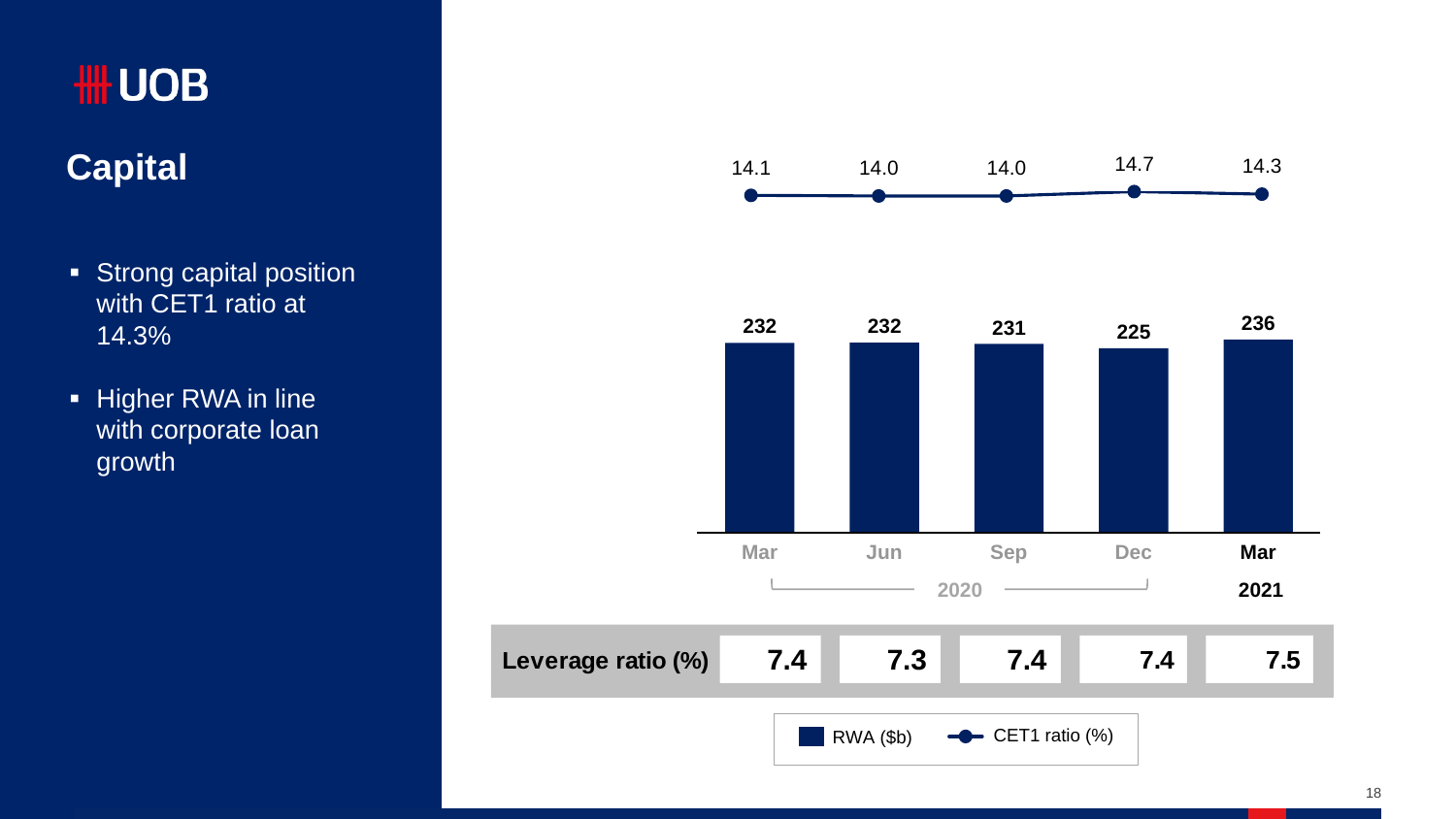#### **Capital**

- **Strong capital position** with CET1 ratio at 14.3%
- Higher RWA in line with corporate loan growth

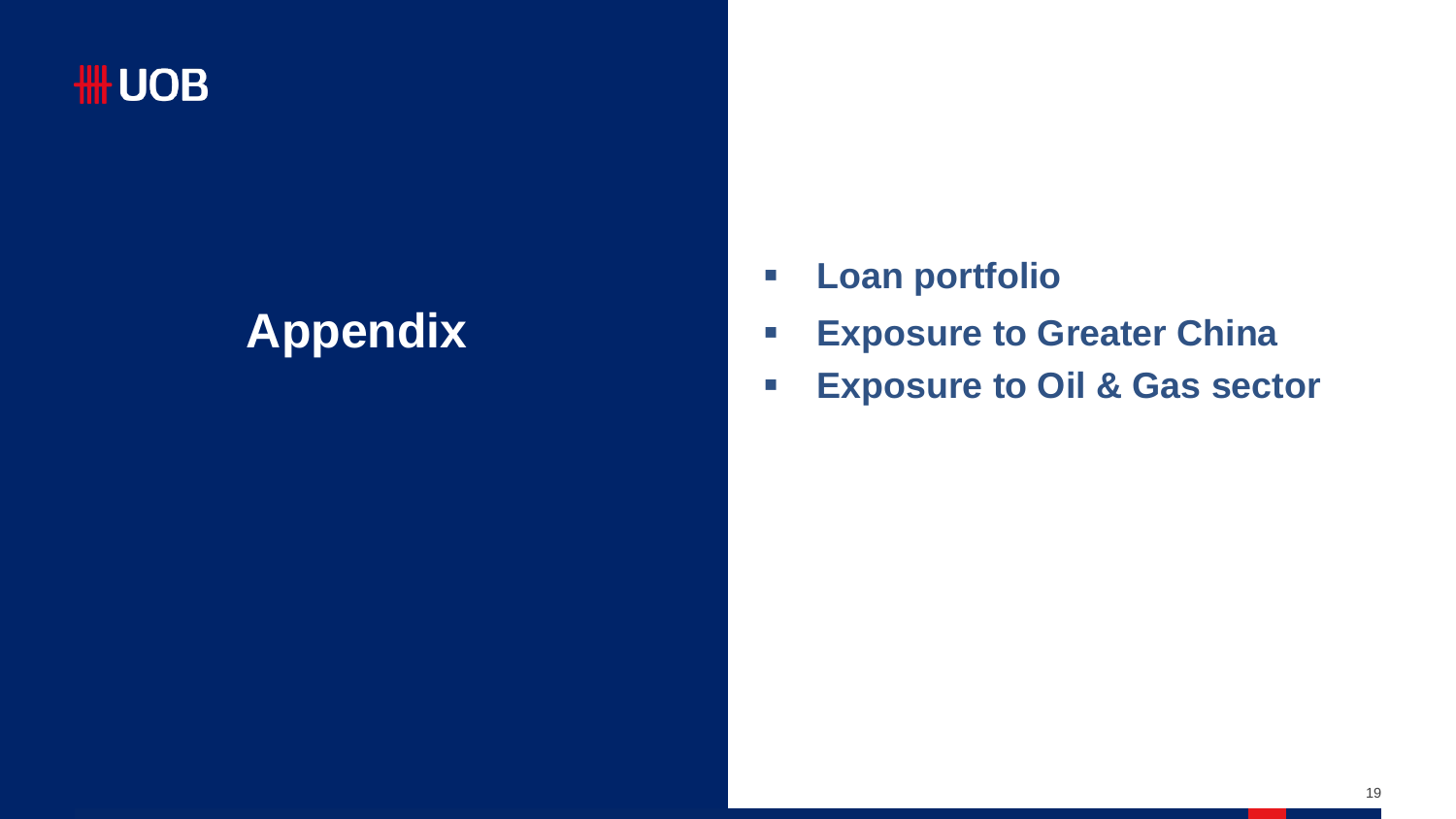# **Appendix**

- **Loan portfolio**
- **Exposure to Greater China**
- **Exposure to Oil & Gas sector**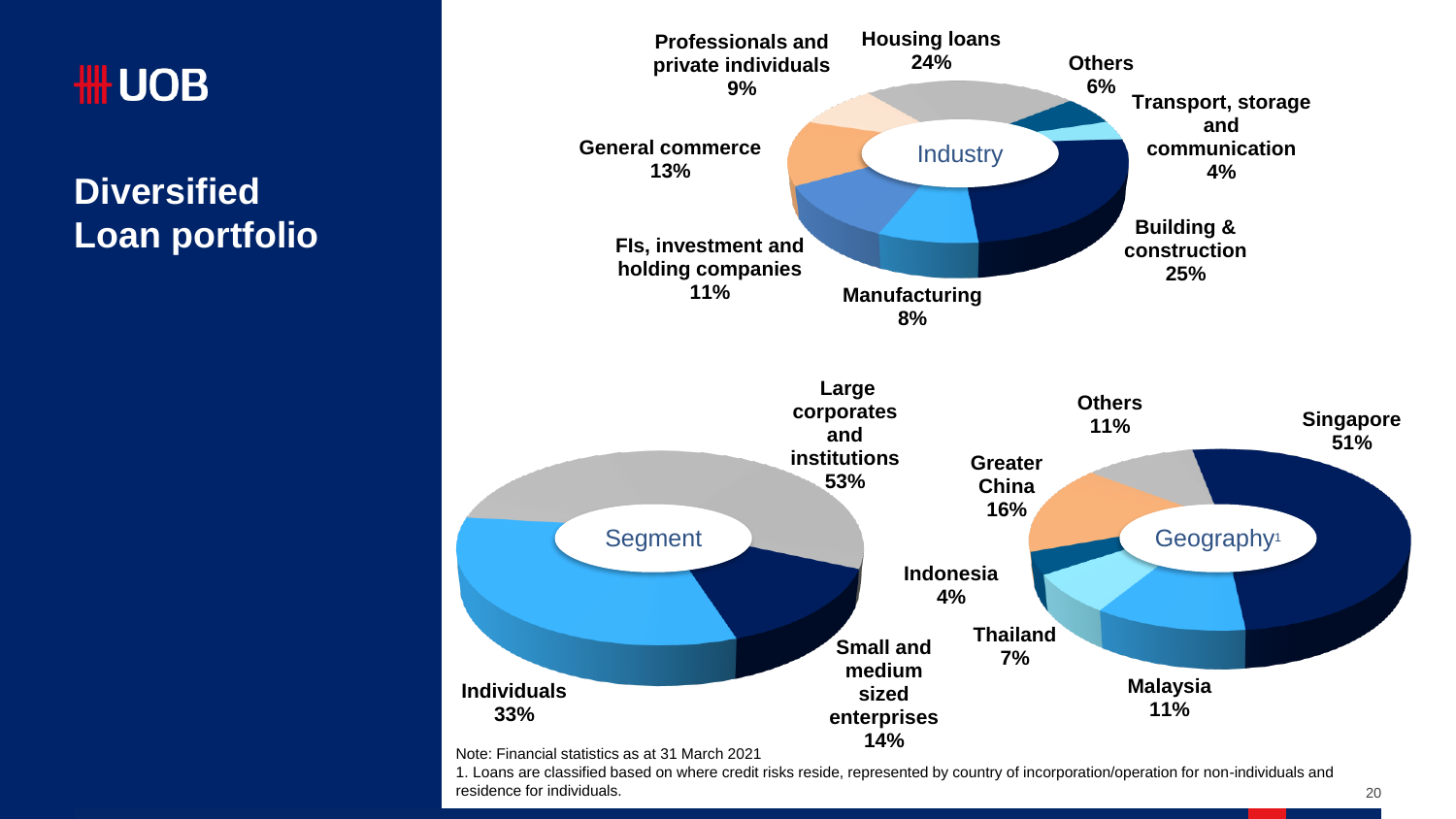# **HH UOB**

**Diversified Loan portfolio**



Note: Financial statistics as at 31 March 2021

1. Loans are classified based on where credit risks reside, represented by country of incorporation/operation for non-individuals and residence for individuals.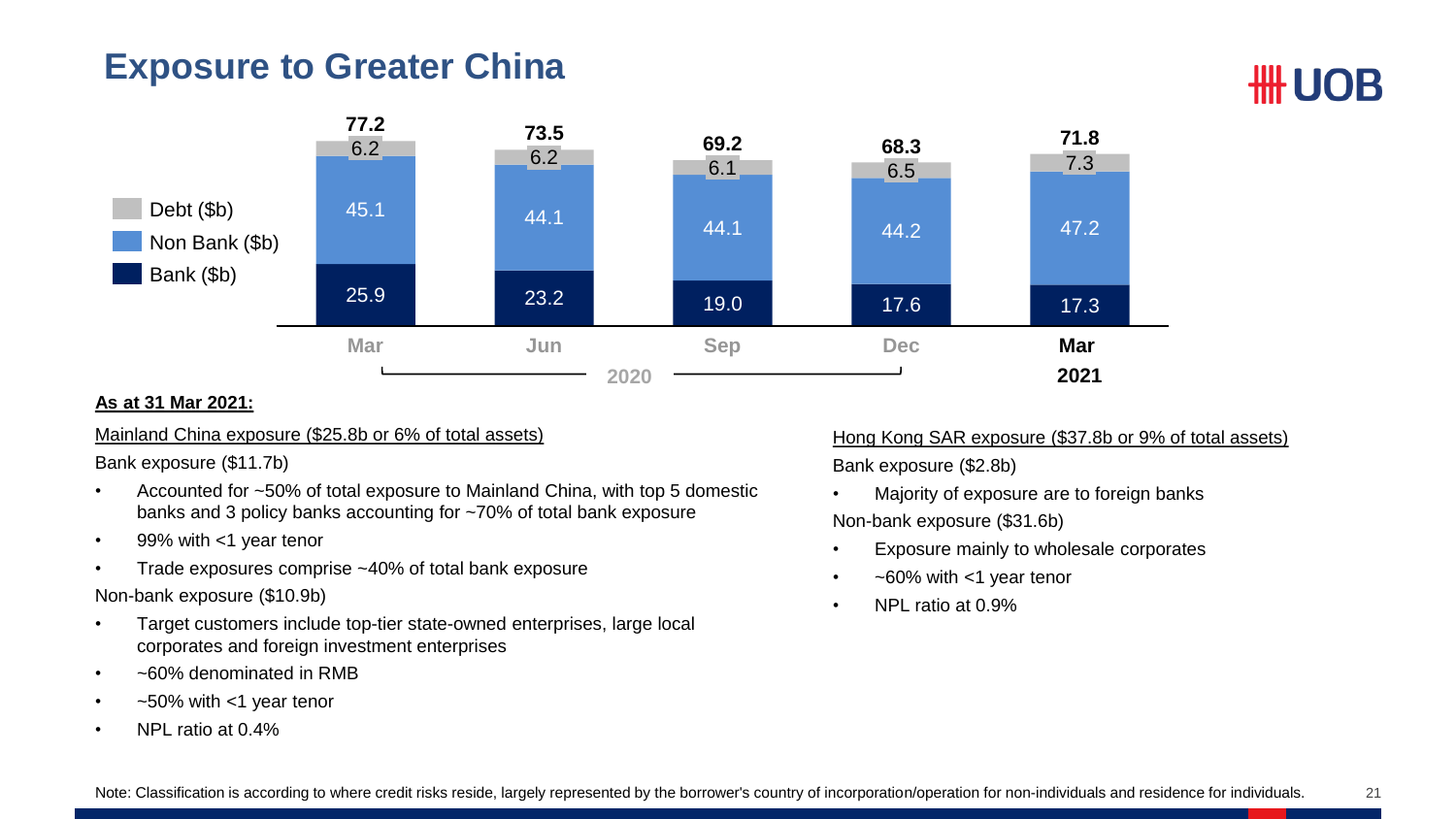#### **Exposure to Greater China**



#### **As at 31 Mar 2021:**

#### Mainland China exposure (\$25.8b or 6% of total assets)

Bank exposure (\$11.7b)

- Accounted for ~50% of total exposure to Mainland China, with top 5 domestic banks and 3 policy banks accounting for ~70% of total bank exposure
- 99% with <1 year tenor
- Trade exposures comprise ~40% of total bank exposure

Non-bank exposure (\$10.9b)

- Target customers include top-tier state-owned enterprises, large local corporates and foreign investment enterprises
- ~60% denominated in RMB
- $~50\%$  with  $~1$  year tenor
- NPL ratio at 0.4%

Hong Kong SAR exposure (\$37.8b or 9% of total assets) Bank exposure (\$2.8b)

**HH UOB** 

- Majority of exposure are to foreign banks Non-bank exposure (\$31.6b)
- Exposure mainly to wholesale corporates
- ~60% with <1 year tenor
- NPL ratio at 0.9%